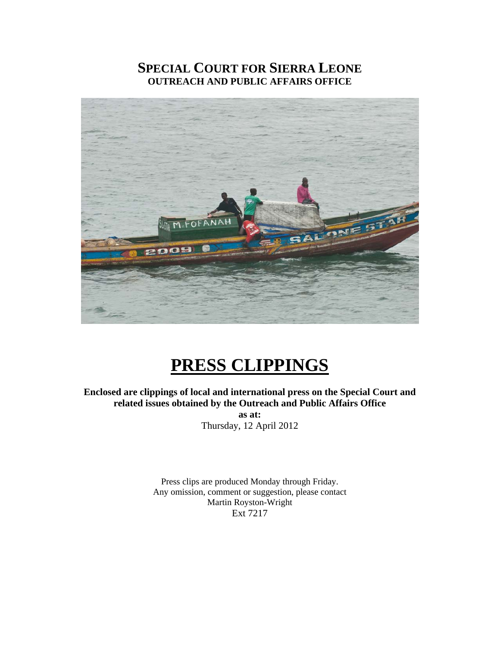# **SPECIAL COURT FOR SIERRA LEONE OUTREACH AND PUBLIC AFFAIRS OFFICE**



# **PRESS CLIPPINGS**

**Enclosed are clippings of local and international press on the Special Court and related issues obtained by the Outreach and Public Affairs Office as at:**  Thursday, 12 April 2012

> Press clips are produced Monday through Friday. Any omission, comment or suggestion, please contact Martin Royston-Wright Ext 7217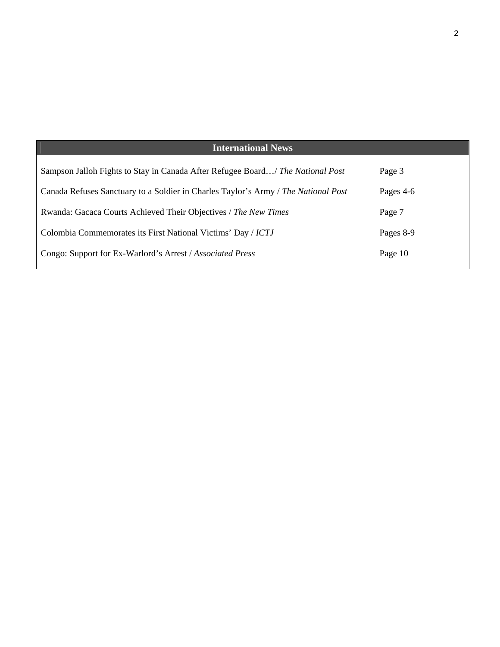# **International News**

| Sampson Jalloh Fights to Stay in Canada After Refugee Board/ The National Post     | Page 3    |
|------------------------------------------------------------------------------------|-----------|
| Canada Refuses Sanctuary to a Soldier in Charles Taylor's Army / The National Post | Pages 4-6 |
| Rwanda: Gacaca Courts Achieved Their Objectives / The New Times                    | Page 7    |
| Colombia Commemorates its First National Victims' Day / ICTJ                       | Pages 8-9 |
| Congo: Support for Ex-Warlord's Arrest / Associated Press                          | Page 10   |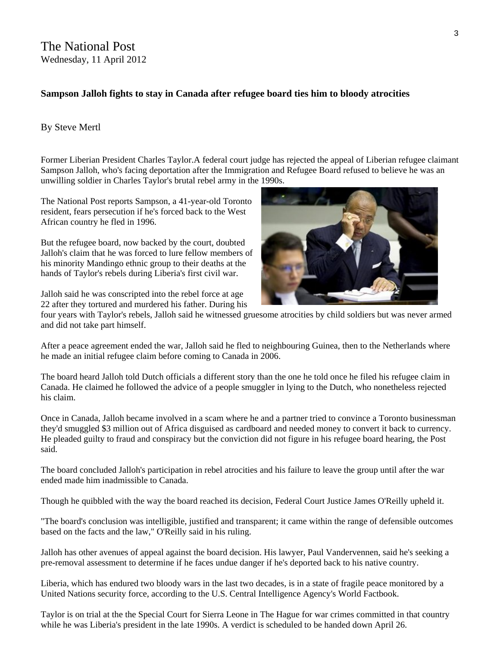# **Sampson Jalloh fights to stay in Canada after refugee board ties him to bloody atrocities**

#### By Steve Mertl

Former Liberian President Charles Taylor.A federal court judge has rejected the appeal of Liberian refugee claimant Sampson Jalloh, who's facing deportation after the Immigration and Refugee Board refused to believe he was an unwilling soldier in Charles Taylor's brutal rebel army in the 1990s.

The National Post reports Sampson, a 41-year-old Toronto resident, fears persecution if he's forced back to the West African country he fled in 1996.

But the refugee board, now backed by the court, doubted Jalloh's claim that he was forced to lure fellow members of his minority Mandingo ethnic group to their deaths at the hands of Taylor's rebels during Liberia's first civil war.

Jalloh said he was conscripted into the rebel force at age 22 after they tortured and murdered his father. During his



four years with Taylor's rebels, Jalloh said he witnessed gruesome atrocities by child soldiers but was never armed and did not take part himself.

After a peace agreement ended the war, Jalloh said he fled to neighbouring Guinea, then to the Netherlands where he made an initial refugee claim before coming to Canada in 2006.

The board heard Jalloh told Dutch officials a different story than the one he told once he filed his refugee claim in Canada. He claimed he followed the advice of a people smuggler in lying to the Dutch, who nonetheless rejected his claim.

Once in Canada, Jalloh became involved in a scam where he and a partner tried to convince a Toronto businessman they'd smuggled \$3 million out of Africa disguised as cardboard and needed money to convert it back to currency. He pleaded guilty to fraud and conspiracy but the conviction did not figure in his refugee board hearing, the Post said.

The board concluded Jalloh's participation in rebel atrocities and his failure to leave the group until after the war ended made him inadmissible to Canada.

Though he quibbled with the way the board reached its decision, Federal Court Justice James O'Reilly upheld it.

"The board's conclusion was intelligible, justified and transparent; it came within the range of defensible outcomes based on the facts and the law," O'Reilly said in his ruling.

Jalloh has other avenues of appeal against the board decision. His lawyer, Paul Vandervennen, said he's seeking a pre-removal assessment to determine if he faces undue danger if he's deported back to his native country.

Liberia, which has endured two bloody wars in the last two decades, is in a state of fragile peace monitored by a United Nations security force, according to the U.S. Central Intelligence Agency's World Factbook.

Taylor is on trial at the the Special Court for Sierra Leone in The Hague for war crimes committed in that country while he was Liberia's president in the late 1990s. A verdict is scheduled to be handed down April 26.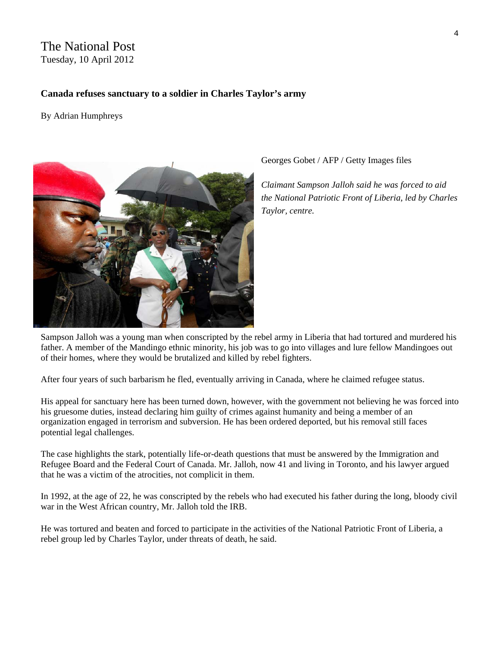# The National Post Tuesday, 10 April 2012

#### **Canada refuses sanctuary to a soldier in Charles Taylor's army**

By Adrian Humphreys



Georges Gobet / AFP / Getty Images files

*Claimant Sampson Jalloh said he was forced to aid the National Patriotic Front of Liberia, led by Charles Taylor, centre.* 

Sampson Jalloh was a young man when conscripted by the rebel army in Liberia that had tortured and murdered his father. A member of the Mandingo ethnic minority, his job was to go into villages and lure fellow Mandingoes out of their homes, where they would be brutalized and killed by rebel fighters.

After four years of such barbarism he fled, eventually arriving in Canada, where he claimed refugee status.

His appeal for sanctuary here has been turned down, however, with the government not believing he was forced into his gruesome duties, instead declaring him guilty of crimes against humanity and being a member of an organization engaged in terrorism and subversion. He has been ordered deported, but his removal still faces potential legal challenges.

The case highlights the stark, potentially life-or-death questions that must be answered by the Immigration and Refugee Board and the Federal Court of Canada. Mr. Jalloh, now 41 and living in Toronto, and his lawyer argued that he was a victim of the atrocities, not complicit in them.

In 1992, at the age of 22, he was conscripted by the rebels who had executed his father during the long, bloody civil war in the West African country, Mr. Jalloh told the IRB.

He was tortured and beaten and forced to participate in the activities of the National Patriotic Front of Liberia, a rebel group led by Charles Taylor, under threats of death, he said.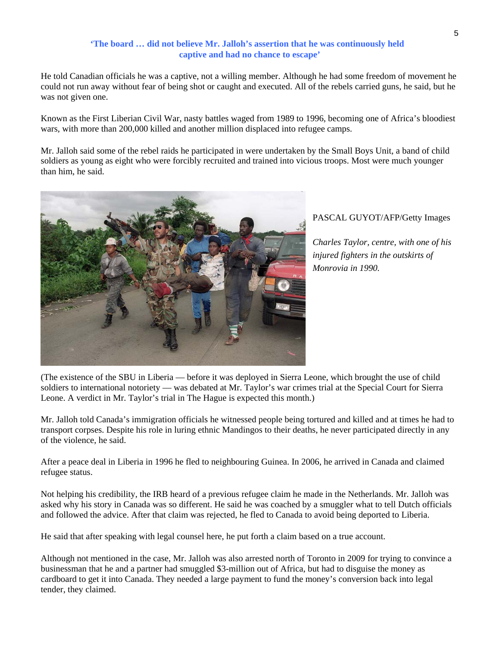#### **'The board … did not believe Mr. Jalloh's assertion that he was continuously held captive and had no chance to escape'**

He told Canadian officials he was a captive, not a willing member. Although he had some freedom of movement he could not run away without fear of being shot or caught and executed. All of the rebels carried guns, he said, but he was not given one.

Known as the First Liberian Civil War, nasty battles waged from 1989 to 1996, becoming one of Africa's bloodiest wars, with more than 200,000 killed and another million displaced into refugee camps.

Mr. Jalloh said some of the rebel raids he participated in were undertaken by the Small Boys Unit, a band of child soldiers as young as eight who were forcibly recruited and trained into vicious troops. Most were much younger than him, he said.



#### PASCAL GUYOT/AFP/Getty Images

*Charles Taylor, centre, with one of his injured fighters in the outskirts of Monrovia in 1990.* 

(The existence of the SBU in Liberia — before it was deployed in Sierra Leone, which brought the use of child soldiers to international notoriety — was debated at Mr. Taylor's war crimes trial at the Special Court for Sierra Leone. A verdict in Mr. Taylor's trial in The Hague is expected this month.)

Mr. Jalloh told Canada's immigration officials he witnessed people being tortured and killed and at times he had to transport corpses. Despite his role in luring ethnic Mandingos to their deaths, he never participated directly in any of the violence, he said.

After a peace deal in Liberia in 1996 he fled to neighbouring Guinea. In 2006, he arrived in Canada and claimed refugee status.

Not helping his credibility, the IRB heard of a previous refugee claim he made in the Netherlands. Mr. Jalloh was asked why his story in Canada was so different. He said he was coached by a smuggler what to tell Dutch officials and followed the advice. After that claim was rejected, he fled to Canada to avoid being deported to Liberia.

He said that after speaking with legal counsel here, he put forth a claim based on a true account.

Although not mentioned in the case, Mr. Jalloh was also arrested north of Toronto in 2009 for trying to convince a businessman that he and a partner had smuggled \$3-million out of Africa, but had to disguise the money as cardboard to get it into Canada. They needed a large payment to fund the money's conversion back into legal tender, they claimed.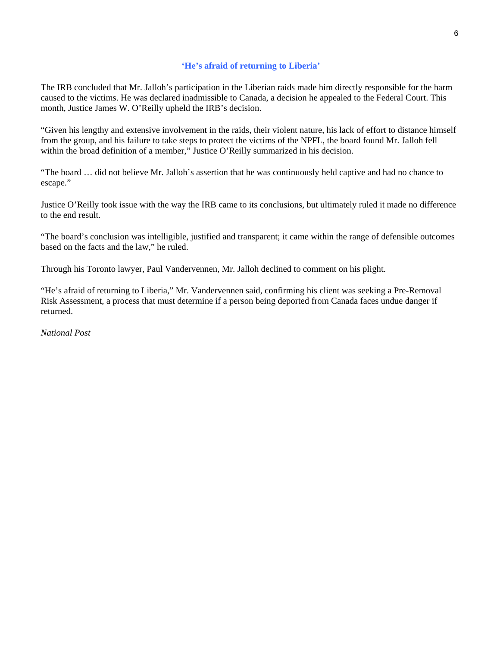#### **'He's afraid of returning to Liberia'**

The IRB concluded that Mr. Jalloh's participation in the Liberian raids made him directly responsible for the harm caused to the victims. He was declared inadmissible to Canada, a decision he appealed to the Federal Court. This month, Justice James W. O'Reilly upheld the IRB's decision.

"Given his lengthy and extensive involvement in the raids, their violent nature, his lack of effort to distance himself from the group, and his failure to take steps to protect the victims of the NPFL, the board found Mr. Jalloh fell within the broad definition of a member," Justice O'Reilly summarized in his decision.

"The board … did not believe Mr. Jalloh's assertion that he was continuously held captive and had no chance to escape."

Justice O'Reilly took issue with the way the IRB came to its conclusions, but ultimately ruled it made no difference to the end result.

"The board's conclusion was intelligible, justified and transparent; it came within the range of defensible outcomes based on the facts and the law," he ruled.

Through his Toronto lawyer, Paul Vandervennen, Mr. Jalloh declined to comment on his plight.

"He's afraid of returning to Liberia," Mr. Vandervennen said, confirming his client was seeking a Pre-Removal Risk Assessment, a process that must determine if a person being deported from Canada faces undue danger if returned.

*National Post*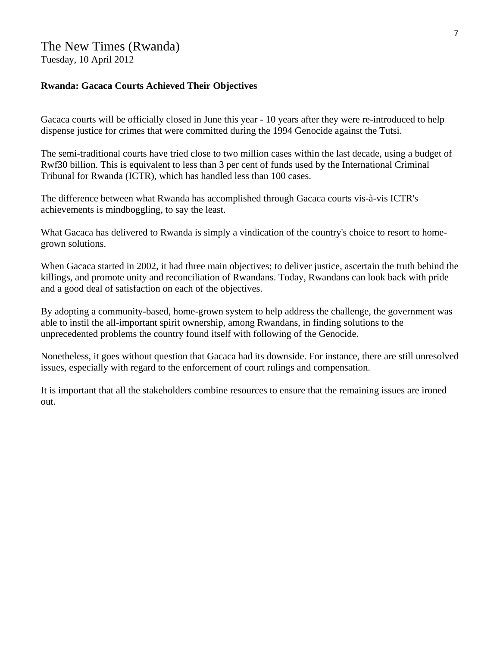# The New Times (Rwanda) Tuesday, 10 April 2012

#### **Rwanda: Gacaca Courts Achieved Their Objectives**

Gacaca courts will be officially closed in June this year - 10 years after they were re-introduced to help dispense justice for crimes that were committed during the 1994 Genocide against the Tutsi.

The semi-traditional courts have tried close to two million cases within the last decade, using a budget of Rwf30 billion. This is equivalent to less than 3 per cent of funds used by the International Criminal Tribunal for Rwanda (ICTR), which has handled less than 100 cases.

The difference between what Rwanda has accomplished through Gacaca courts vis-à-vis ICTR's achievements is mindboggling, to say the least.

What Gacaca has delivered to Rwanda is simply a vindication of the country's choice to resort to homegrown solutions.

When Gacaca started in 2002, it had three main objectives; to deliver justice, ascertain the truth behind the killings, and promote unity and reconciliation of Rwandans. Today, Rwandans can look back with pride and a good deal of satisfaction on each of the objectives.

By adopting a community-based, home-grown system to help address the challenge, the government was able to instil the all-important spirit ownership, among Rwandans, in finding solutions to the unprecedented problems the country found itself with following of the Genocide.

Nonetheless, it goes without question that Gacaca had its downside. For instance, there are still unresolved issues, especially with regard to the enforcement of court rulings and compensation.

It is important that all the stakeholders combine resources to ensure that the remaining issues are ironed out.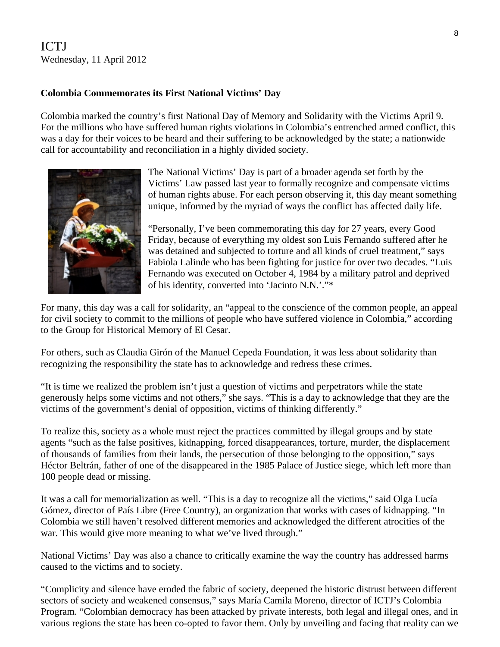# ICTJ Wednesday, 11 April 2012

### **Colombia Commemorates its First National Victims' Day**

Colombia marked the country's first National Day of Memory and Solidarity with the Victims April 9. For the millions who have suffered human rights violations in Colombia's entrenched armed conflict, this was a day for their voices to be heard and their suffering to be acknowledged by the state; a nationwide call for accountability and reconciliation in a highly divided society.



The National Victims' Day is part of a broader agenda set forth by the Victims' Law passed last year to formally recognize and compensate victims of human rights abuse. For each person observing it, this day meant something unique, informed by the myriad of ways the conflict has affected daily life.

"Personally, I've been commemorating this day for 27 years, every Good Friday, because of everything my oldest son Luis Fernando suffered after he was detained and subjected to torture and all kinds of cruel treatment," says Fabiola Lalinde who has been fighting for justice for over two decades. "Luis Fernando was executed on October 4, 1984 by a military patrol and deprived of his identity, converted into 'Jacinto N.N.'."\*

For many, this day was a call for solidarity, an "appeal to the conscience of the common people, an appeal for civil society to commit to the millions of people who have suffered violence in Colombia," according to the Group for Historical Memory of El Cesar.

For others, such as Claudia Girón of the Manuel Cepeda Foundation, it was less about solidarity than recognizing the responsibility the state has to acknowledge and redress these crimes.

"It is time we realized the problem isn't just a question of victims and perpetrators while the state generously helps some victims and not others," she says. "This is a day to acknowledge that they are the victims of the government's denial of opposition, victims of thinking differently."

To realize this, society as a whole must reject the practices committed by illegal groups and by state agents "such as the false positives, kidnapping, forced disappearances, torture, murder, the displacement of thousands of families from their lands, the persecution of those belonging to the opposition," says Héctor Beltrán, father of one of the disappeared in the 1985 Palace of Justice siege, which left more than 100 people dead or missing.

It was a call for memorialization as well. "This is a day to recognize all the victims," said Olga Lucía Gómez, director of País Libre (Free Country), an organization that works with cases of kidnapping. "In Colombia we still haven't resolved different memories and acknowledged the different atrocities of the war. This would give more meaning to what we've lived through."

National Victims' Day was also a chance to critically examine the way the country has addressed harms caused to the victims and to society.

"Complicity and silence have eroded the fabric of society, deepened the historic distrust between different sectors of society and weakened consensus," says María Camila Moreno, director of ICTJ's Colombia Program. "Colombian democracy has been attacked by private interests, both legal and illegal ones, and in various regions the state has been co-opted to favor them. Only by unveiling and facing that reality can we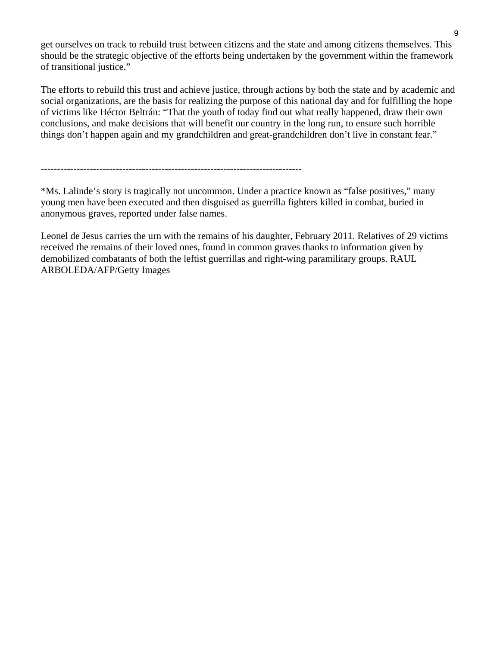get ourselves on track to rebuild trust between citizens and the state and among citizens themselves. This should be the strategic objective of the efforts being undertaken by the government within the framework of transitional justice."

The efforts to rebuild this trust and achieve justice, through actions by both the state and by academic and social organizations, are the basis for realizing the purpose of this national day and for fulfilling the hope of victims like Héctor Beltrán: "That the youth of today find out what really happened, draw their own conclusions, and make decisions that will benefit our country in the long run, to ensure such horrible things don't happen again and my grandchildren and great-grandchildren don't live in constant fear."

--------------------------------------------------------------------------------

\*Ms. Lalinde's story is tragically not uncommon. Under a practice known as "false positives," many young men have been executed and then disguised as guerrilla fighters killed in combat, buried in anonymous graves, reported under false names.

Leonel de Jesus carries the urn with the remains of his daughter, February 2011. Relatives of 29 victims received the remains of their loved ones, found in common graves thanks to information given by demobilized combatants of both the leftist guerrillas and right-wing paramilitary groups. RAUL ARBOLEDA/AFP/Getty Images